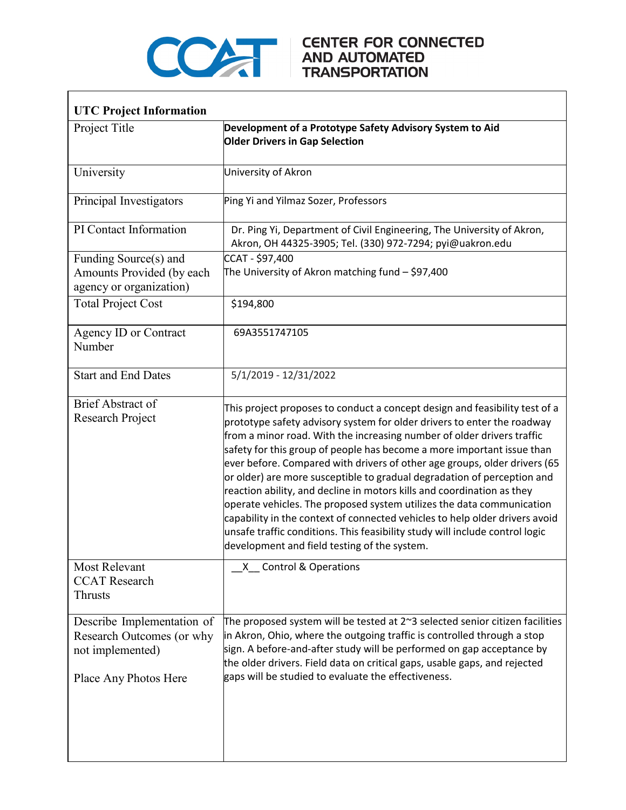

## COMPARE CENTER FOR CONNECTED

| <b>UTC Project Information</b>                                                                                                                                                                                                                                                                                                                                                                                                                                                                                                                                                                                                                                                                                                                                                                                                       |  |
|--------------------------------------------------------------------------------------------------------------------------------------------------------------------------------------------------------------------------------------------------------------------------------------------------------------------------------------------------------------------------------------------------------------------------------------------------------------------------------------------------------------------------------------------------------------------------------------------------------------------------------------------------------------------------------------------------------------------------------------------------------------------------------------------------------------------------------------|--|
| Development of a Prototype Safety Advisory System to Aid<br><b>Older Drivers in Gap Selection</b>                                                                                                                                                                                                                                                                                                                                                                                                                                                                                                                                                                                                                                                                                                                                    |  |
| University of Akron                                                                                                                                                                                                                                                                                                                                                                                                                                                                                                                                                                                                                                                                                                                                                                                                                  |  |
| Ping Yi and Yilmaz Sozer, Professors                                                                                                                                                                                                                                                                                                                                                                                                                                                                                                                                                                                                                                                                                                                                                                                                 |  |
| Dr. Ping Yi, Department of Civil Engineering, The University of Akron,<br>Akron, OH 44325-3905; Tel. (330) 972-7294; pyi@uakron.edu                                                                                                                                                                                                                                                                                                                                                                                                                                                                                                                                                                                                                                                                                                  |  |
| CCAT - \$97,400<br>The University of Akron matching fund - \$97,400                                                                                                                                                                                                                                                                                                                                                                                                                                                                                                                                                                                                                                                                                                                                                                  |  |
| \$194,800                                                                                                                                                                                                                                                                                                                                                                                                                                                                                                                                                                                                                                                                                                                                                                                                                            |  |
| 69A3551747105                                                                                                                                                                                                                                                                                                                                                                                                                                                                                                                                                                                                                                                                                                                                                                                                                        |  |
| 5/1/2019 - 12/31/2022                                                                                                                                                                                                                                                                                                                                                                                                                                                                                                                                                                                                                                                                                                                                                                                                                |  |
| This project proposes to conduct a concept design and feasibility test of a<br>prototype safety advisory system for older drivers to enter the roadway<br>from a minor road. With the increasing number of older drivers traffic<br>safety for this group of people has become a more important issue than<br>ever before. Compared with drivers of other age groups, older drivers (65<br>or older) are more susceptible to gradual degradation of perception and<br>reaction ability, and decline in motors kills and coordination as they<br>operate vehicles. The proposed system utilizes the data communication<br>capability in the context of connected vehicles to help older drivers avoid<br>unsafe traffic conditions. This feasibility study will include control logic<br>development and field testing of the system. |  |
| X Control & Operations                                                                                                                                                                                                                                                                                                                                                                                                                                                                                                                                                                                                                                                                                                                                                                                                               |  |
| Describe Implementation of<br>The proposed system will be tested at $2^{\sim}3$ selected senior citizen facilities<br>in Akron, Ohio, where the outgoing traffic is controlled through a stop<br>sign. A before-and-after study will be performed on gap acceptance by<br>the older drivers. Field data on critical gaps, usable gaps, and rejected<br>gaps will be studied to evaluate the effectiveness.                                                                                                                                                                                                                                                                                                                                                                                                                           |  |
|                                                                                                                                                                                                                                                                                                                                                                                                                                                                                                                                                                                                                                                                                                                                                                                                                                      |  |